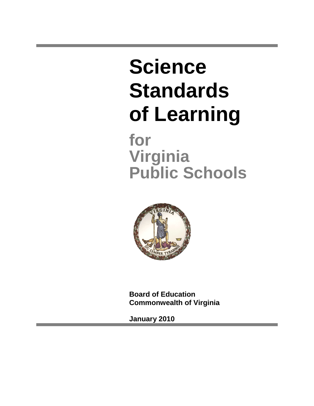**Science Standards of Learning**

**for Virginia Public Schools**



**Board of Education Commonwealth of Virginia**

**January 2010**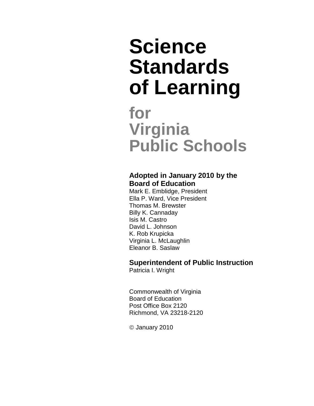# **Science Standards of Learning**

## **for Virginia Public Schools**

#### **Adopted in January 2010 by the Board of Education**

Mark E. Emblidge, President Ella P. Ward, Vice President Thomas M. Brewster Billy K. Cannaday Isis M. Castro David L. Johnson K. Rob Krupicka Virginia L. McLaughlin Eleanor B. Saslaw

#### **Superintendent of Public Instruction**

Patricia I. Wright

Commonwealth of Virginia Board of Education Post Office Box 2120 Richmond, VA 23218-2120

January 2010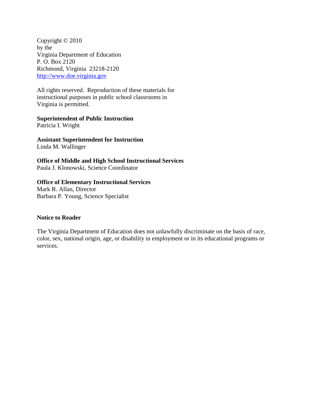Copyright © 2010 by the Virginia Department of Education P. O. Box 2120 Richmond, Virginia 23218-2120 [http://www.doe.virginia.gov](http://www.doe.virginia.gov/)

All rights reserved. Reproduction of these materials for instructional purposes in public school classrooms in Virginia is permitted.

#### **Superintendent of Public Instruction**

Patricia I. Wright

**Assistant Superintendent for Instruction** Linda M. Wallinger

**Office of Middle and High School Instructional Services** Paula J. Klonowski, Science Coordinator

#### **Office of Elementary Instructional Services**

Mark R. Allan, Director Barbara P. Young, Science Specialist

#### **Notice to Reader**

The Virginia Department of Education does not unlawfully discriminate on the basis of race, color, sex, national origin, age, or disability in employment or in its educational programs or services.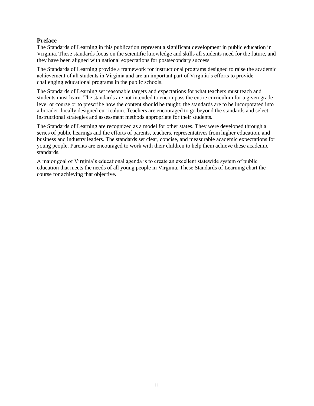#### **Preface**

The Standards of Learning in this publication represent a significant development in public education in Virginia. These standards focus on the scientific knowledge and skills all students need for the future, and they have been aligned with national expectations for postsecondary success.

The Standards of Learning provide a framework for instructional programs designed to raise the academic achievement of all students in Virginia and are an important part of Virginia's efforts to provide challenging educational programs in the public schools.

The Standards of Learning set reasonable targets and expectations for what teachers must teach and students must learn. The standards are not intended to encompass the entire curriculum for a given grade level or course or to prescribe how the content should be taught; the standards are to be incorporated into a broader, locally designed curriculum. Teachers are encouraged to go beyond the standards and select instructional strategies and assessment methods appropriate for their students.

The Standards of Learning are recognized as a model for other states. They were developed through a series of public hearings and the efforts of parents, teachers, representatives from higher education, and business and industry leaders. The standards set clear, concise, and measurable academic expectations for young people. Parents are encouraged to work with their children to help them achieve these academic standards.

A major goal of Virginia's educational agenda is to create an excellent statewide system of public education that meets the needs of all young people in Virginia. These Standards of Learning chart the course for achieving that objective.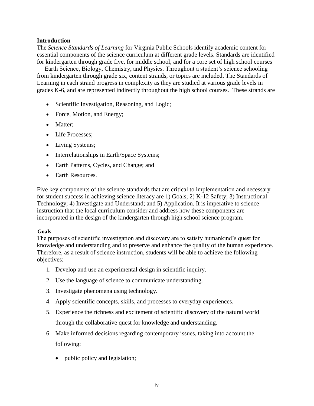#### **Introduction**

The *Science Standards of Learning* for Virginia Public Schools identify academic content for essential components of the science curriculum at different grade levels. Standards are identified for kindergarten through grade five, for middle school, and for a core set of high school courses — Earth Science, Biology, Chemistry, and Physics. Throughout a student's science schooling from kindergarten through grade six, content strands, or topics are included. The Standards of Learning in each strand progress in complexity as they are studied at various grade levels in grades K-6, and are represented indirectly throughout the high school courses. These strands are

- Scientific Investigation, Reasoning, and Logic;
- Force, Motion, and Energy;
- Matter;
- Life Processes:
- Living Systems;
- Interrelationships in Earth/Space Systems;
- Earth Patterns, Cycles, and Change; and
- Earth Resources.

Five key components of the science standards that are critical to implementation and necessary for student success in achieving science literacy are 1) Goals; 2) K-12 Safety; 3) Instructional Technology; 4) Investigate and Understand; and 5) Application. It is imperative to science instruction that the local curriculum consider and address how these components are incorporated in the design of the kindergarten through high school science program.

#### **Goals**

The purposes of scientific investigation and discovery are to satisfy humankind's quest for knowledge and understanding and to preserve and enhance the quality of the human experience. Therefore, as a result of science instruction, students will be able to achieve the following objectives:

- 1. Develop and use an experimental design in scientific inquiry.
- 2. Use the language of science to communicate understanding.
- 3. Investigate phenomena using technology.
- 4. Apply scientific concepts, skills, and processes to everyday experiences.
- 5. Experience the richness and excitement of scientific discovery of the natural world through the collaborative quest for knowledge and understanding.
- 6. Make informed decisions regarding contemporary issues, taking into account the following:
	- public policy and legislation;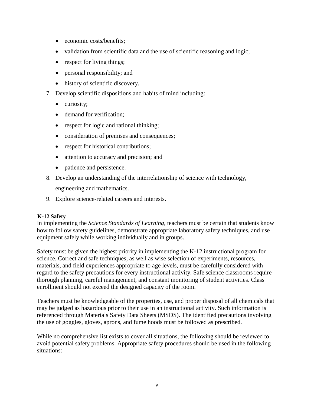- economic costs/benefits;
- validation from scientific data and the use of scientific reasoning and logic;
- respect for living things;
- personal responsibility; and
- history of scientific discovery.
- 7. Develop scientific dispositions and habits of mind including:
	- curiosity;
	- demand for verification;
	- respect for logic and rational thinking;
	- consideration of premises and consequences;
	- respect for historical contributions;
	- attention to accuracy and precision; and
	- patience and persistence.
- 8. Develop an understanding of the interrelationship of science with technology,

engineering and mathematics.

9. Explore science-related careers and interests.

#### **K-12 Safety**

In implementing the *Science Standards of Learning*, teachers must be certain that students know how to follow safety guidelines, demonstrate appropriate laboratory safety techniques, and use equipment safely while working individually and in groups.

Safety must be given the highest priority in implementing the K-12 instructional program for science. Correct and safe techniques, as well as wise selection of experiments, resources, materials, and field experiences appropriate to age levels, must be carefully considered with regard to the safety precautions for every instructional activity. Safe science classrooms require thorough planning, careful management, and constant monitoring of student activities. Class enrollment should not exceed the designed capacity of the room.

Teachers must be knowledgeable of the properties, use, and proper disposal of all chemicals that may be judged as hazardous prior to their use in an instructional activity. Such information is referenced through Materials Safety Data Sheets (MSDS). The identified precautions involving the use of goggles, gloves, aprons, and fume hoods must be followed as prescribed.

While no comprehensive list exists to cover all situations, the following should be reviewed to avoid potential safety problems. Appropriate safety procedures should be used in the following situations: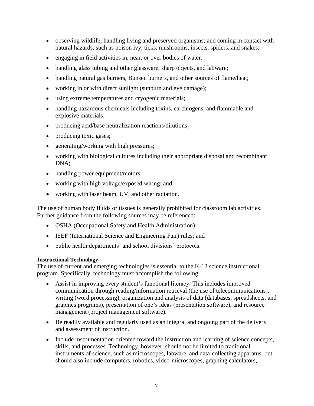- observing wildlife; handling living and preserved organisms; and coming in contact with natural hazards, such as poison ivy, ticks, mushrooms, insects, spiders, and snakes;
- engaging in field activities in, near, or over bodies of water;
- handling glass tubing and other glassware, sharp objects, and labware;
- handling natural gas burners, Bunsen burners, and other sources of flame/heat;
- working in or with direct sunlight (sunburn and eye damage);
- using extreme temperatures and cryogenic materials;
- handling hazardous chemicals including toxins, carcinogens, and flammable and explosive materials;
- producing acid/base neutralization reactions/dilutions;
- producing toxic gases;
- generating/working with high pressures;
- working with biological cultures including their appropriate disposal and recombinant DNA;
- handling power equipment/motors;
- working with high voltage/exposed wiring; and
- working with laser beam, UV, and other radiation.

The use of human body fluids or tissues is generally prohibited for classroom lab activities. Further guidance from the following sources may be referenced:

- OSHA (Occupational Safety and Health Administration);
- ISEF (International Science and Engineering Fair) rules; and
- public health departments' and school divisions' protocols.

#### **Instructional Technology**

The use of current and emerging technologies is essential to the K-12 science instructional program. Specifically, technology must accomplish the following:

- Assist in improving every student's functional literacy. This includes improved communication through reading/information retrieval (the use of telecommunications), writing (word processing), organization and analysis of data (databases, spreadsheets, and graphics programs), presentation of one's ideas (presentation software), and resource management (project management software).
- Be readily available and regularly used as an integral and ongoing part of the delivery and assessment of instruction.
- Include instrumentation oriented toward the instruction and learning of science concepts, skills, and processes. Technology, however, should not be limited to traditional instruments of science, such as microscopes, labware, and data-collecting apparatus, but should also include computers, robotics, video-microscopes, graphing calculators,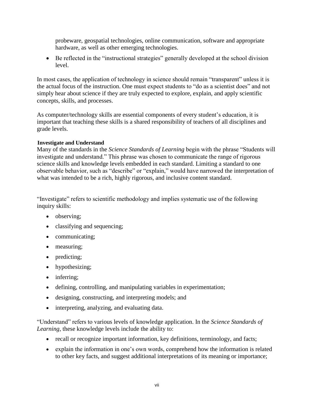probeware, geospatial technologies, online communication, software and appropriate hardware, as well as other emerging technologies.

 Be reflected in the "instructional strategies" generally developed at the school division level.

In most cases, the application of technology in science should remain "transparent" unless it is the actual focus of the instruction. One must expect students to "do as a scientist does" and not simply hear about science if they are truly expected to explore, explain, and apply scientific concepts, skills, and processes.

As computer/technology skills are essential components of every student's education, it is important that teaching these skills is a shared responsibility of teachers of all disciplines and grade levels.

#### **Investigate and Understand**

Many of the standards in the *Science Standards of Learning* begin with the phrase "Students will investigate and understand." This phrase was chosen to communicate the range of rigorous science skills and knowledge levels embedded in each standard. Limiting a standard to one observable behavior, such as "describe" or "explain," would have narrowed the interpretation of what was intended to be a rich, highly rigorous, and inclusive content standard.

"Investigate" refers to scientific methodology and implies systematic use of the following inquiry skills:

- observing;
- classifying and sequencing;
- communicating;
- measuring;
- predicting;
- hypothesizing;
- inferring:
- defining, controlling, and manipulating variables in experimentation;
- designing, constructing, and interpreting models; and
- interpreting, analyzing, and evaluating data.

"Understand" refers to various levels of knowledge application. In the *Science Standards of Learning*, these knowledge levels include the ability to:

- recall or recognize important information, key definitions, terminology, and facts;
- explain the information in one's own words, comprehend how the information is related to other key facts, and suggest additional interpretations of its meaning or importance;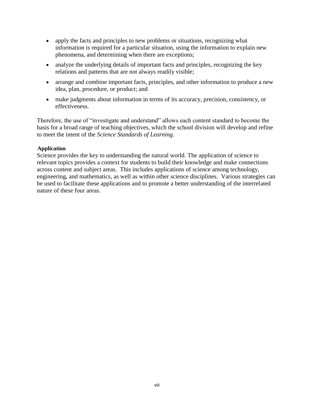- apply the facts and principles to new problems or situations, recognizing what information is required for a particular situation, using the information to explain new phenomena, and determining when there are exceptions;
- analyze the underlying details of important facts and principles, recognizing the key relations and patterns that are not always readily visible;
- arrange and combine important facts, principles, and other information to produce a new idea, plan, procedure, or product; and
- make judgments about information in terms of its accuracy, precision, consistency, or effectiveness.

Therefore, the use of "investigate and understand" allows each content standard to become the basis for a broad range of teaching objectives, which the school division will develop and refine to meet the intent of the *Science Standards of Learning*.

#### **Application**

Science provides the key to understanding the natural world. The application of science to relevant topics provides a context for students to build their knowledge and make connections across content and subject areas. This includes applications of science among technology, engineering, and mathematics, as well as within other science disciplines. Various strategies can be used to facilitate these applications and to promote a better understanding of the interrelated nature of these four areas.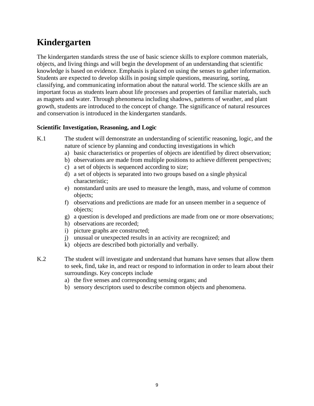### **Kindergarten**

The kindergarten standards stress the use of basic science skills to explore common materials, objects, and living things and will begin the development of an understanding that scientific knowledge is based on evidence. Emphasis is placed on using the senses to gather information. Students are expected to develop skills in posing simple questions, measuring, sorting, classifying, and communicating information about the natural world. The science skills are an important focus as students learn about life processes and properties of familiar materials, such as magnets and water. Through phenomena including shadows, patterns of weather, and plant growth, students are introduced to the concept of change. The significance of natural resources and conservation is introduced in the kindergarten standards.

#### **Scientific Investigation, Reasoning, and Logic**

- K.1 The student will demonstrate an understanding of scientific reasoning, logic, and the nature of science by planning and conducting investigations in which
	- a) basic characteristics or properties of objects are identified by direct observation;
	- b) observations are made from multiple positions to achieve different perspectives;
	- c) a set of objects is sequenced according to size;
	- d) a set of objects is separated into two groups based on a single physical characteristic;
	- e) nonstandard units are used to measure the length, mass, and volume of common objects;
	- f) observations and predictions are made for an unseen member in a sequence of objects;
	- g) a question is developed and predictions are made from one or more observations;
	- h) observations are recorded;
	- i) picture graphs are constructed;
	- j) unusual or unexpected results in an activity are recognized; and
	- k) objects are described both pictorially and verbally.
- K.2 The student will investigate and understand that humans have senses that allow them to seek, find, take in, and react or respond to information in order to learn about their surroundings. Key concepts include
	- a) the five senses and corresponding sensing organs; and
	- b) sensory descriptors used to describe common objects and phenomena.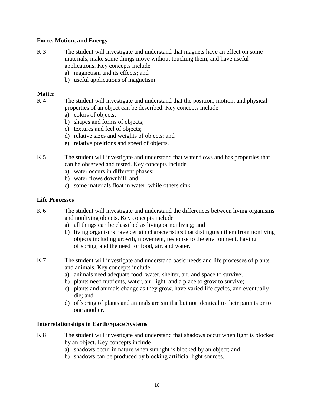#### **Force, Motion, and Energy**

- K.3 The student will investigate and understand that magnets have an effect on some materials, make some things move without touching them, and have useful applications. Key concepts include
	- a) magnetism and its effects; and
	- b) useful applications of magnetism.

#### **Matter**

- K.4 The student will investigate and understand that the position, motion, and physical properties of an object can be described. Key concepts include
	- a) colors of objects;
	- b) shapes and forms of objects;
	- c) textures and feel of objects;
	- d) relative sizes and weights of objects; and
	- e) relative positions and speed of objects.
- K.5 The student will investigate and understand that water flows and has properties that can be observed and tested. Key concepts include
	- a) water occurs in different phases;
	- b) water flows downhill; and
	- c) some materials float in water, while others sink.

#### **Life Processes**

- K.6 The student will investigate and understand the differences between living organisms and nonliving objects. Key concepts include
	- a) all things can be classified as living or nonliving; and
	- b) living organisms have certain characteristics that distinguish them from nonliving objects including growth, movement, response to the environment, having offspring, and the need for food, air, and water.
- K.7 The student will investigate and understand basic needs and life processes of plants and animals. Key concepts include
	- a) animals need adequate food, water, shelter, air, and space to survive;
	- b) plants need nutrients, water, air, light, and a place to grow to survive;
	- c) plants and animals change as they grow, have varied life cycles, and eventually die; and
	- d) offspring of plants and animals are similar but not identical to their parents or to one another.

#### **Interrelationships in Earth/Space Systems**

- K.8 The student will investigate and understand that shadows occur when light is blocked by an object. Key concepts include
	- a) shadows occur in nature when sunlight is blocked by an object; and
	- b) shadows can be produced by blocking artificial light sources.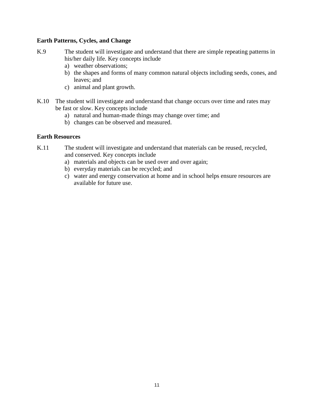#### **Earth Patterns, Cycles, and Change**

- K.9 The student will investigate and understand that there are simple repeating patterns in his/her daily life. Key concepts include
	- a) weather observations;
	- b) the shapes and forms of many common natural objects including seeds, cones, and leaves; and
	- c) animal and plant growth.
- K.10 The student will investigate and understand that change occurs over time and rates may be fast or slow. Key concepts include
	- a) natural and human-made things may change over time; and
	- b) changes can be observed and measured.

#### **Earth Resources**

- K.11 The student will investigate and understand that materials can be reused, recycled, and conserved. Key concepts include
	- a) materials and objects can be used over and over again;
	- b) everyday materials can be recycled; and
	- c) water and energy conservation at home and in school helps ensure resources are available for future use.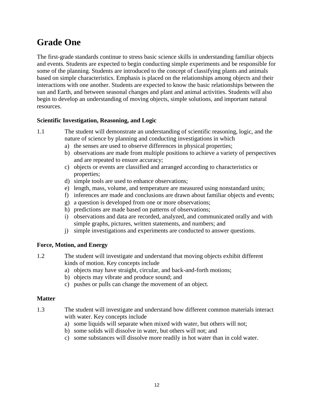### **Grade One**

The first-grade standards continue to stress basic science skills in understanding familiar objects and events. Students are expected to begin conducting simple experiments and be responsible for some of the planning. Students are introduced to the concept of classifying plants and animals based on simple characteristics. Emphasis is placed on the relationships among objects and their interactions with one another. Students are expected to know the basic relationships between the sun and Earth, and between seasonal changes and plant and animal activities. Students will also begin to develop an understanding of moving objects, simple solutions, and important natural resources.

#### **Scientific Investigation, Reasoning, and Logic**

- 1.1 The student will demonstrate an understanding of scientific reasoning, logic, and the nature of science by planning and conducting investigations in which
	- a) the senses are used to observe differences in physical properties;
	- b) observations are made from multiple positions to achieve a variety of perspectives and are repeated to ensure accuracy;
	- c) objects or events are classified and arranged according to characteristics or properties;
	- d) simple tools are used to enhance observations;
	- e) length, mass, volume, and temperature are measured using nonstandard units;
	- f) inferences are made and conclusions are drawn about familiar objects and events;
	- g) a question is developed from one or more observations;
	- h) predictions are made based on patterns of observations;
	- i) observations and data are recorded, analyzed, and communicated orally and with simple graphs, pictures, written statements, and numbers; and
	- j) simple investigations and experiments are conducted to answer questions.

#### **Force, Motion, and Energy**

- 1.2 The student will investigate and understand that moving objects exhibit different kinds of motion. Key concepts include
	- a) objects may have straight, circular, and back-and-forth motions;
	- b) objects may vibrate and produce sound; and
	- c) pushes or pulls can change the movement of an object.

#### **Matter**

- 1.3 The student will investigate and understand how different common materials interact with water. Key concepts include
	- a) some liquids will separate when mixed with water, but others will not;
	- b) some solids will dissolve in water, but others will not; and
	- c) some substances will dissolve more readily in hot water than in cold water.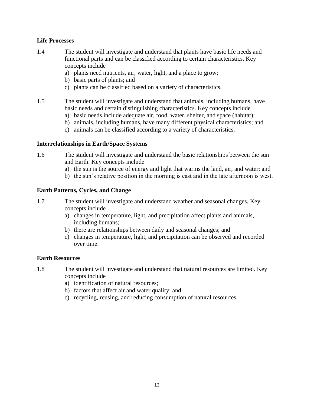#### **Life Processes**

- 1.4 The student will investigate and understand that plants have basic life needs and functional parts and can be classified according to certain characteristics. Key concepts include
	- a) plants need nutrients, air, water, light, and a place to grow;
	- b) basic parts of plants; and
	- c) plants can be classified based on a variety of characteristics.
- 1.5 The student will investigate and understand that animals, including humans, have basic needs and certain distinguishing characteristics. Key concepts include
	- a) basic needs include adequate air, food, water, shelter, and space (habitat);
	- b) animals, including humans, have many different physical characteristics; and
	- c) animals can be classified according to a variety of characteristics.

#### **Interrelationships in Earth/Space Systems**

- 1.6 The student will investigate and understand the basic relationships between the sun and Earth. Key concepts include
	- a) the sun is the source of energy and light that warms the land, air, and water; and
	- b) the sun's relative position in the morning is east and in the late afternoon is west.

#### **Earth Patterns, Cycles, and Change**

- 1.7 The student will investigate and understand weather and seasonal changes. Key concepts include
	- a) changes in temperature, light, and precipitation affect plants and animals, including humans;
	- b) there are relationships between daily and seasonal changes; and
	- c) changes in temperature, light, and precipitation can be observed and recorded over time.

#### **Earth Resources**

- 1.8 The student will investigate and understand that natural resources are limited. Key concepts include
	- a) identification of natural resources;
	- b) factors that affect air and water quality; and
	- c) recycling, reusing, and reducing consumption of natural resources.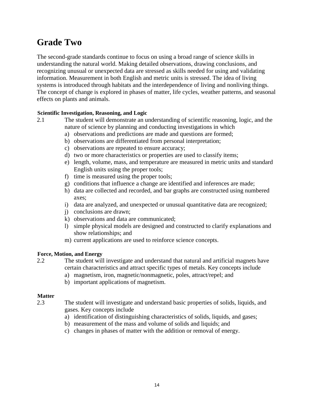### **Grade Two**

The second-grade standards continue to focus on using a broad range of science skills in understanding the natural world. Making detailed observations, drawing conclusions, and recognizing unusual or unexpected data are stressed as skills needed for using and validating information. Measurement in both English and metric units is stressed. The idea of living systems is introduced through habitats and the interdependence of living and nonliving things. The concept of change is explored in phases of matter, life cycles, weather patterns, and seasonal effects on plants and animals.

#### **Scientific Investigation, Reasoning, and Logic**

- 2.1 The student will demonstrate an understanding of scientific reasoning, logic, and the nature of science by planning and conducting investigations in which
	- a) observations and predictions are made and questions are formed;
	- b) observations are differentiated from personal interpretation;
	- c) observations are repeated to ensure accuracy;
	- d) two or more characteristics or properties are used to classify items;
	- e) length, volume, mass, and temperature are measured in metric units and standard English units using the proper tools;
	- f) time is measured using the proper tools;
	- g) conditions that influence a change are identified and inferences are made;
	- h) data are collected and recorded, and bar graphs are constructed using numbered axes;
	- i) data are analyzed, and unexpected or unusual quantitative data are recognized;
	- j) conclusions are drawn;
	- k) observations and data are communicated;
	- l) simple physical models are designed and constructed to clarify explanations and show relationships; and
	- m) current applications are used to reinforce science concepts.

#### **Force, Motion, and Energy**

- 2.2 The student will investigate and understand that natural and artificial magnets have certain characteristics and attract specific types of metals. Key concepts include
	- a) magnetism, iron, magnetic/nonmagnetic, poles, attract/repel; and
	- b) important applications of magnetism.

#### **Matter**

2.3 The student will investigate and understand basic properties of solids, liquids, and gases. Key concepts include

- a) identification of distinguishing characteristics of solids, liquids, and gases;
- b) measurement of the mass and volume of solids and liquids; and
- c) changes in phases of matter with the addition or removal of energy.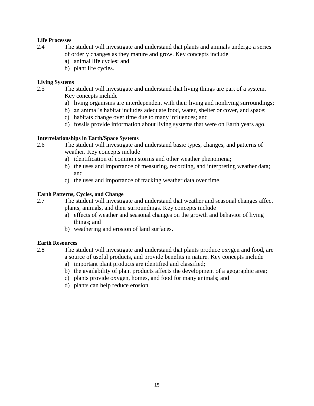#### **Life Processes**

- 2.4 The student will investigate and understand that plants and animals undergo a series of orderly changes as they mature and grow. Key concepts include
	- a) animal life cycles; and
	- b) plant life cycles.

#### **Living Systems**

- 2.5 The student will investigate and understand that living things are part of a system. Key concepts include
	- a) living organisms are interdependent with their living and nonliving surroundings;
	- b) an animal's habitat includes adequate food, water, shelter or cover, and space;
	- c) habitats change over time due to many influences; and
	- d) fossils provide information about living systems that were on Earth years ago.

#### **Interrelationships in Earth/Space Systems**

- 2.6 The student will investigate and understand basic types, changes, and patterns of weather. Key concepts include
	- a) identification of common storms and other weather phenomena;
	- b) the uses and importance of measuring, recording, and interpreting weather data; and
	- c) the uses and importance of tracking weather data over time.

#### **Earth Patterns, Cycles, and Change**

2.7 The student will investigate and understand that weather and seasonal changes affect plants, animals, and their surroundings. Key concepts include

- a) effects of weather and seasonal changes on the growth and behavior of living things; and
- b) weathering and erosion of land surfaces.

#### **Earth Resources**

2.8 The student will investigate and understand that plants produce oxygen and food, are a source of useful products, and provide benefits in nature. Key concepts include

- a) important plant products are identified and classified;
- b) the availability of plant products affects the development of a geographic area;
- c) plants provide oxygen, homes, and food for many animals; and
- d) plants can help reduce erosion.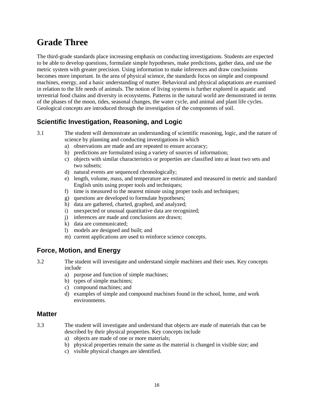### **Grade Three**

The third-grade standards place increasing emphasis on conducting investigations. Students are expected to be able to develop questions, formulate simple hypotheses, make predictions, gather data, and use the metric system with greater precision. Using information to make inferences and draw conclusions becomes more important. In the area of physical science, the standards focus on simple and compound machines, energy, and a basic understanding of matter. Behavioral and physical adaptations are examined in relation to the life needs of animals. The notion of living systems is further explored in aquatic and terrestrial food chains and diversity in ecosystems. Patterns in the natural world are demonstrated in terms of the phases of the moon, tides, seasonal changes, the water cycle, and animal and plant life cycles. Geological concepts are introduced through the investigation of the components of soil.

#### **Scientific Investigation, Reasoning, and Logic**

- 3.1 The student will demonstrate an understanding of scientific reasoning, logic, and the nature of science by planning and conducting investigations in which
	- a) observations are made and are repeated to ensure accuracy;
	- b) predictions are formulated using a variety of sources of information;
	- c) objects with similar characteristics or properties are classified into at least two sets and two subsets;
	- d) natural events are sequenced chronologically;
	- e) length, volume, mass, and temperature are estimated and measured in metric and standard English units using proper tools and techniques;
	- f) time is measured to the nearest minute using proper tools and techniques;
	- g) questions are developed to formulate hypotheses;
	- h) data are gathered, charted, graphed, and analyzed;
	- i) unexpected or unusual quantitative data are recognized;
	- j) inferences are made and conclusions are drawn;
	- k) data are communicated;
	- l) models are designed and built; and
	- m) current applications are used to reinforce science concepts.

#### **Force, Motion, and Energy**

3.2 The student will investigate and understand simple machines and their uses. Key concepts include

- a) purpose and function of simple machines;
- b) types of simple machines;
- c) compound machines; and
- d) examples of simple and compound machines found in the school, home, and work environments.

#### **Matter**

- 3.3 The student will investigate and understand that objects are made of materials that can be described by their physical properties. Key concepts include
	- a) objects are made of one or more materials;
	- b) physical properties remain the same as the material is changed in visible size; and
	- c) visible physical changes are identified.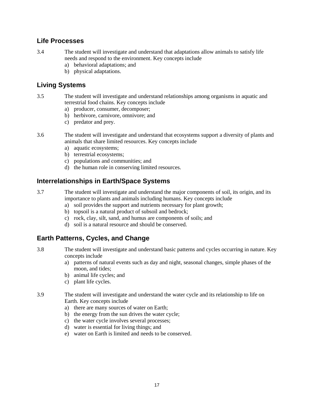#### **Life Processes**

- 3.4 The student will investigate and understand that adaptations allow animals to satisfy life needs and respond to the environment. Key concepts include
	- a) behavioral adaptations; and
	- b) physical adaptations.

#### **Living Systems**

- 3.5 The student will investigate and understand relationships among organisms in aquatic and terrestrial food chains. Key concepts include
	- a) producer, consumer, decomposer;
	- b) herbivore, carnivore, omnivore; and
	- c) predator and prey.
- 3.6 The student will investigate and understand that ecosystems support a diversity of plants and animals that share limited resources. Key concepts include
	- a) aquatic ecosystems;
	- b) terrestrial ecosystems;
	- c) populations and communities; and
	- d) the human role in conserving limited resources.

#### **Interrelationships in Earth/Space Systems**

3.7 The student will investigate and understand the major components of soil, its origin, and its importance to plants and animals including humans. Key concepts include

- a) soil provides the support and nutrients necessary for plant growth;
- b) topsoil is a natural product of subsoil and bedrock;
- c) rock, clay, silt, sand, and humus are components of soils; and
- d) soil is a natural resource and should be conserved.

#### **Earth Patterns, Cycles, and Change**

3.8 The student will investigate and understand basic patterns and cycles occurring in nature. Key concepts include

- a) patterns of natural events such as day and night, seasonal changes, simple phases of the moon, and tides;
- b) animal life cycles; and
- c) plant life cycles.
- 3.9 The student will investigate and understand the water cycle and its relationship to life on Earth. Key concepts include
	- a) there are many sources of water on Earth;
	- b) the energy from the sun drives the water cycle;
	- c) the water cycle involves several processes;
	- d) water is essential for living things; and
	- e) water on Earth is limited and needs to be conserved.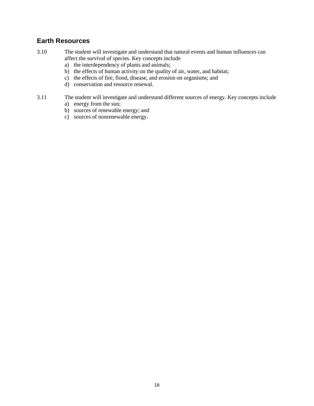#### **Earth Resources**

- 3.10 The student will investigate and understand that natural events and human influences can affect the survival of species. Key concepts include
	- a) the interdependency of plants and animals;
	- b) the effects of human activity on the quality of air, water, and habitat;
	- c) the effects of fire, flood, disease, and erosion on organisms; and
	- d) conservation and resource renewal.
- 3.11 The student will investigate and understand different sources of energy. Key concepts include
	- a) energy from the sun;
	- b) sources of renewable energy; and
	- c) sources of nonrenewable energy.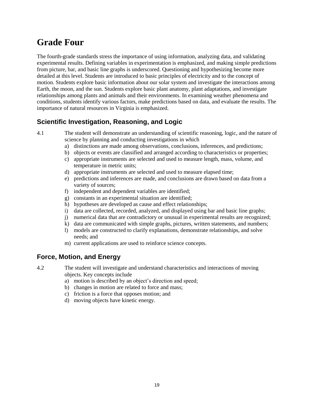### **Grade Four**

The fourth-grade standards stress the importance of using information, analyzing data, and validating experimental results. Defining variables in experimentation is emphasized, and making simple predictions from picture, bar, and basic line graphs is underscored. Questioning and hypothesizing become more detailed at this level. Students are introduced to basic principles of electricity and to the concept of motion. Students explore basic information about our solar system and investigate the interactions among Earth, the moon, and the sun. Students explore basic plant anatomy, plant adaptations, and investigate relationships among plants and animals and their environments. In examining weather phenomena and conditions, students identify various factors, make predictions based on data, and evaluate the results. The importance of natural resources in Virginia is emphasized.

#### **Scientific Investigation, Reasoning, and Logic**

4.1 The student will demonstrate an understanding of scientific reasoning, logic, and the nature of science by planning and conducting investigations in which

- a) distinctions are made among observations, conclusions, inferences, and predictions;
- b) objects or events are classified and arranged according to characteristics or properties;
- c) appropriate instruments are selected and used to measure length, mass, volume, and temperature in metric units;
- d) appropriate instruments are selected and used to measure elapsed time;
- e) predictions and inferences are made, and conclusions are drawn based on data from a variety of sources;
- f) independent and dependent variables are identified;
- g) constants in an experimental situation are identified;
- h) hypotheses are developed as cause and effect relationships;
- i) data are collected, recorded, analyzed, and displayed using bar and basic line graphs;
- j) numerical data that are contradictory or unusual in experimental results are recognized;
- k) data are communicated with simple graphs, pictures, written statements, and numbers;
- l) models are constructed to clarify explanations, demonstrate relationships, and solve needs; and
- m) current applications are used to reinforce science concepts.

#### **Force, Motion, and Energy**

4.2 The student will investigate and understand characteristics and interactions of moving objects. Key concepts include

- a) motion is described by an object's direction and speed;
- b) changes in motion are related to force and mass;
- c) friction is a force that opposes motion; and
- d) moving objects have kinetic energy.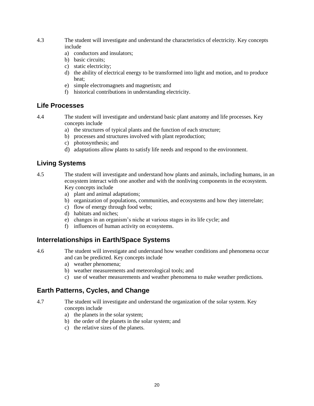- 4.3 The student will investigate and understand the characteristics of electricity. Key concepts include
	- a) conductors and insulators;
	- b) basic circuits:
	- c) static electricity;
	- d) the ability of electrical energy to be transformed into light and motion, and to produce heat;
	- e) simple electromagnets and magnetism; and
	- f) historical contributions in understanding electricity.

#### **Life Processes**

4.4 The student will investigate and understand basic plant anatomy and life processes. Key concepts include

- a) the structures of typical plants and the function of each structure;
- b) processes and structures involved with plant reproduction;
- c) photosynthesis; and
- d) adaptations allow plants to satisfy life needs and respond to the environment.

#### **Living Systems**

4.5 The student will investigate and understand how plants and animals, including humans, in an ecosystem interact with one another and with the nonliving components in the ecosystem. Key concepts include

- a) plant and animal adaptations;
- b) organization of populations, communities, and ecosystems and how they interrelate;
- c) flow of energy through food webs;
- d) habitats and niches;
- e) changes in an organism's niche at various stages in its life cycle; and
- f) influences of human activity on ecosystems.

#### **Interrelationships in Earth/Space Systems**

4.6 The student will investigate and understand how weather conditions and phenomena occur and can be predicted. Key concepts include

- a) weather phenomena;
- b) weather measurements and meteorological tools; and
- c) use of weather measurements and weather phenomena to make weather predictions.

#### **Earth Patterns, Cycles, and Change**

- 4.7 The student will investigate and understand the organization of the solar system. Key concepts include
	- a) the planets in the solar system;
	- b) the order of the planets in the solar system; and
	- c) the relative sizes of the planets.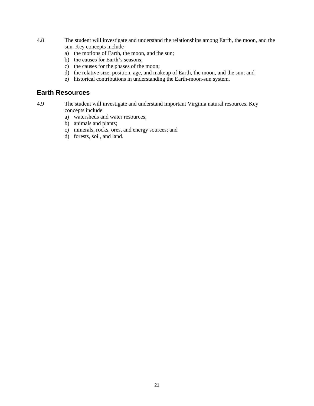- 4.8 The student will investigate and understand the relationships among Earth, the moon, and the sun. Key concepts include
	- a) the motions of Earth, the moon, and the sun;
	- b) the causes for Earth's seasons;
	- c) the causes for the phases of the moon;
	- d) the relative size, position, age, and makeup of Earth, the moon, and the sun; and
	- e) historical contributions in understanding the Earth-moon-sun system.

#### **Earth Resources**

- 4.9 The student will investigate and understand important Virginia natural resources. Key concepts include
	- a) watersheds and water resources;
	- b) animals and plants;
	- c) minerals, rocks, ores, and energy sources; and
	- d) forests, soil, and land.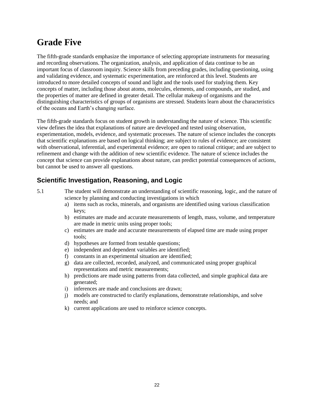### **Grade Five**

The fifth-grade standards emphasize the importance of selecting appropriate instruments for measuring and recording observations. The organization, analysis, and application of data continue to be an important focus of classroom inquiry. Science skills from preceding grades, including questioning, using and validating evidence, and systematic experimentation, are reinforced at this level. Students are introduced to more detailed concepts of sound and light and the tools used for studying them. Key concepts of matter, including those about atoms, molecules, elements, and compounds, are studied, and the properties of matter are defined in greater detail. The cellular makeup of organisms and the distinguishing characteristics of groups of organisms are stressed. Students learn about the characteristics of the oceans and Earth's changing surface.

The fifth-grade standards focus on student growth in understanding the nature of science. This scientific view defines the idea that explanations of nature are developed and tested using observation, experimentation, models, evidence, and systematic processes. The nature of science includes the concepts that scientific explanations are based on logical thinking; are subject to rules of evidence; are consistent with observational, inferential, and experimental evidence; are open to rational critique; and are subject to refinement and change with the addition of new scientific evidence. The nature of science includes the concept that science can provide explanations about nature, can predict potential consequences of actions, but cannot be used to answer all questions.

#### **Scientific Investigation, Reasoning, and Logic**

- 5.1 The student will demonstrate an understanding of scientific reasoning, logic, and the nature of science by planning and conducting investigations in which
	- a) items such as rocks, minerals, and organisms are identified using various classification keys;
	- b) estimates are made and accurate measurements of length, mass, volume, and temperature are made in metric units using proper tools;
	- c) estimates are made and accurate measurements of elapsed time are made using proper tools;
	- d) hypotheses are formed from testable questions;
	- e) independent and dependent variables are identified;
	- f) constants in an experimental situation are identified;
	- g) data are collected, recorded, analyzed, and communicated using proper graphical representations and metric measurements;
	- h) predictions are made using patterns from data collected, and simple graphical data are generated;
	- i) inferences are made and conclusions are drawn;
	- j) models are constructed to clarify explanations, demonstrate relationships, and solve needs; and
	- k) current applications are used to reinforce science concepts.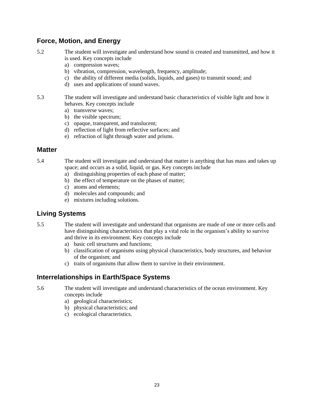#### **Force, Motion, and Energy**

- 5.2 The student will investigate and understand how sound is created and transmitted, and how it is used. Key concepts include
	- a) compression waves;
	- b) vibration, compression, wavelength, frequency, amplitude;
	- c) the ability of different media (solids, liquids, and gases) to transmit sound; and
	- d) uses and applications of sound waves.

5.3 The student will investigate and understand basic characteristics of visible light and how it behaves. Key concepts include

- a) transverse waves;
- b) the visible spectrum;
- c) opaque, transparent, and translucent;
- d) reflection of light from reflective surfaces; and
- e) refraction of light through water and prisms.

#### **Matter**

- 5.4 The student will investigate and understand that matter is anything that has mass and takes up space; and occurs as a solid, liquid, or gas. Key concepts include
	- a) distinguishing properties of each phase of matter;
	- b) the effect of temperature on the phases of matter;
	- c) atoms and elements;
	- d) molecules and compounds; and
	- e) mixtures including solutions.

#### **Living Systems**

- 5.5 The student will investigate and understand that organisms are made of one or more cells and have distinguishing characteristics that play a vital role in the organism's ability to survive and thrive in its environment. Key concepts include
	- a) basic cell structures and functions;
	- b) classification of organisms using physical characteristics, body structures, and behavior of the organism; and
	- c) traits of organisms that allow them to survive in their environment.

#### **Interrelationships in Earth/Space Systems**

- 5.6 The student will investigate and understand characteristics of the ocean environment. Key concepts include
	- a) geological characteristics;
	- b) physical characteristics; and
	- c) ecological characteristics.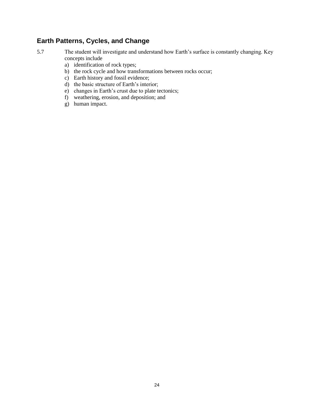#### **Earth Patterns, Cycles, and Change**

- 5.7 The student will investigate and understand how Earth's surface is constantly changing. Key concepts include
	- a) identification of rock types;
	- b) the rock cycle and how transformations between rocks occur;
	- c) Earth history and fossil evidence;
	- d) the basic structure of Earth's interior;
	- e) changes in Earth's crust due to plate tectonics;
	- f) weathering, erosion, and deposition; and
	- g) human impact.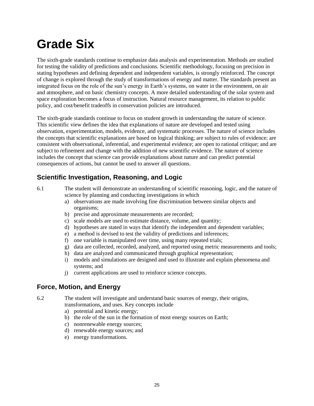## **Grade Six**

The sixth-grade standards continue to emphasize data analysis and experimentation. Methods are studied for testing the validity of predictions and conclusions. Scientific methodology, focusing on precision in stating hypotheses and defining dependent and independent variables, is strongly reinforced. The concept of change is explored through the study of transformations of energy and matter. The standards present an integrated focus on the role of the sun's energy in Earth's systems, on water in the environment, on air and atmosphere, and on basic chemistry concepts. A more detailed understanding of the solar system and space exploration becomes a focus of instruction. Natural resource management, its relation to public policy, and cost/benefit tradeoffs in conservation policies are introduced.

The sixth-grade standards continue to focus on student growth in understanding the nature of science. This scientific view defines the idea that explanations of nature are developed and tested using observation, experimentation, models, evidence, and systematic processes. The nature of science includes the concepts that scientific explanations are based on logical thinking; are subject to rules of evidence; are consistent with observational, inferential, and experimental evidence; are open to rational critique; and are subject to refinement and change with the addition of new scientific evidence. The nature of science includes the concept that science can provide explanations about nature and can predict potential consequences of actions, but cannot be used to answer all questions.

#### **Scientific Investigation, Reasoning, and Logic**

- 6.1 The student will demonstrate an understanding of scientific reasoning, logic, and the nature of science by planning and conducting investigations in which
	- a) observations are made involving fine discrimination between similar objects and organisms;
	- b) precise and approximate measurements are recorded;
	- c) scale models are used to estimate distance, volume, and quantity;
	- d) hypotheses are stated in ways that identify the independent and dependent variables;
	- e) a method is devised to test the validity of predictions and inferences;
	- f) one variable is manipulated over time, using many repeated trials;
	- g) data are collected, recorded, analyzed, and reported using metric measurements and tools;
	- h) data are analyzed and communicated through graphical representation;
	- i) models and simulations are designed and used to illustrate and explain phenomena and systems; and
	- j) current applications are used to reinforce science concepts.

#### **Force, Motion, and Energy**

6.2 The student will investigate and understand basic sources of energy, their origins, transformations, and uses. Key concepts include

- a) potential and kinetic energy;
- b) the role of the sun in the formation of most energy sources on Earth;
- c) nonrenewable energy sources;
- d) renewable energy sources; and
- e) energy transformations.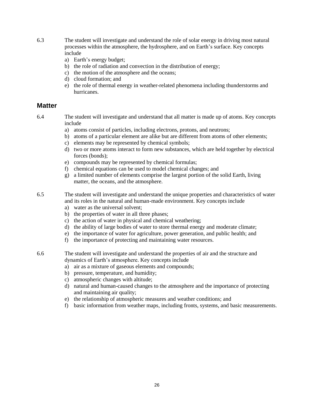- 6.3 The student will investigate and understand the role of solar energy in driving most natural processes within the atmosphere, the hydrosphere, and on Earth's surface. Key concepts include
	- a) Earth's energy budget;
	- b) the role of radiation and convection in the distribution of energy;
	- c) the motion of the atmosphere and the oceans;
	- d) cloud formation; and
	- e) the role of thermal energy in weather-related phenomena including thunderstorms and hurricanes.

#### **Matter**

6.4 The student will investigate and understand that all matter is made up of atoms. Key concepts include

- a) atoms consist of particles, including electrons, protons, and neutrons;
- b) atoms of a particular element are alike but are different from atoms of other elements;
- c) elements may be represented by chemical symbols;
- d) two or more atoms interact to form new substances, which are held together by electrical forces (bonds);
- e) compounds may be represented by chemical formulas;
- f) chemical equations can be used to model chemical changes; and
- g) a limited number of elements comprise the largest portion of the solid Earth, living matter, the oceans, and the atmosphere.

6.5 The student will investigate and understand the unique properties and characteristics of water and its roles in the natural and human-made environment. Key concepts include

- a) water as the universal solvent;
- b) the properties of water in all three phases;
- c) the action of water in physical and chemical weathering;
- d) the ability of large bodies of water to store thermal energy and moderate climate;
- e) the importance of water for agriculture, power generation, and public health; and
- f) the importance of protecting and maintaining water resources.

6.6 The student will investigate and understand the properties of air and the structure and dynamics of Earth's atmosphere. Key concepts include

- a) air as a mixture of gaseous elements and compounds;
- b) pressure, temperature, and humidity;
- c) atmospheric changes with altitude;
- d) natural and human-caused changes to the atmosphere and the importance of protecting and maintaining air quality;
- e) the relationship of atmospheric measures and weather conditions; and
- f) basic information from weather maps, including fronts, systems, and basic measurements.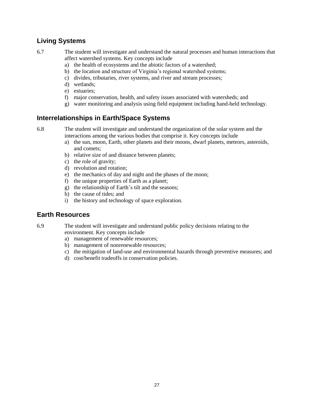#### **Living Systems**

6.7 The student will investigate and understand the natural processes and human interactions that affect watershed systems. Key concepts include

- a) the health of ecosystems and the abiotic factors of a watershed;
- b) the location and structure of Virginia's regional watershed systems;
- c) divides, tributaries, river systems, and river and stream processes;
- d) wetlands;
- e) estuaries;
- f) major conservation, health, and safety issues associated with watersheds; and
- g) water monitoring and analysis using field equipment including hand-held technology.

#### **Interrelationships in Earth/Space Systems**

6.8 The student will investigate and understand the organization of the solar system and the interactions among the various bodies that comprise it. Key concepts include

- a) the sun, moon, Earth, other planets and their moons, dwarf planets, meteors, asteroids, and comets;
- b) relative size of and distance between planets;
- c) the role of gravity;
- d) revolution and rotation;
- e) the mechanics of day and night and the phases of the moon;
- f) the unique properties of Earth as a planet;
- g) the relationship of Earth's tilt and the seasons;
- h) the cause of tides; and
- i) the history and technology of space exploration.

#### **Earth Resources**

6.9 The student will investigate and understand public policy decisions relating to the environment. Key concepts include

- a) management of renewable resources;
- b) management of nonrenewable resources;
- c) the mitigation of land-use and environmental hazards through preventive measures; and
- d) cost/benefit tradeoffs in conservation policies.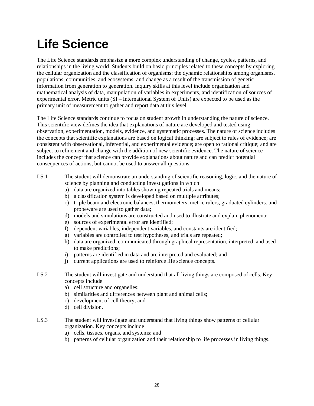## **Life Science**

The Life Science standards emphasize a more complex understanding of change, cycles, patterns, and relationships in the living world. Students build on basic principles related to these concepts by exploring the cellular organization and the classification of organisms; the dynamic relationships among organisms, populations, communities, and ecosystems; and change as a result of the transmission of genetic information from generation to generation. Inquiry skills at this level include organization and mathematical analysis of data, manipulation of variables in experiments, and identification of sources of experimental error. Metric units (SI – International System of Units) are expected to be used as the primary unit of measurement to gather and report data at this level.

The Life Science standards continue to focus on student growth in understanding the nature of science. This scientific view defines the idea that explanations of nature are developed and tested using observation, experimentation, models, evidence, and systematic processes. The nature of science includes the concepts that scientific explanations are based on logical thinking; are subject to rules of evidence; are consistent with observational, inferential, and experimental evidence; are open to rational critique; and are subject to refinement and change with the addition of new scientific evidence. The nature of science includes the concept that science can provide explanations about nature and can predict potential consequences of actions, but cannot be used to answer all questions.

- LS.1 The student will demonstrate an understanding of scientific reasoning, logic, and the nature of science by planning and conducting investigations in which
	- a) data are organized into tables showing repeated trials and means;
	- b) a classification system is developed based on multiple attributes;
	- c) triple beam and electronic balances, thermometers, metric rulers, graduated cylinders, and probeware are used to gather data;
	- d) models and simulations are constructed and used to illustrate and explain phenomena;
	- e) sources of experimental error are identified;
	- f) dependent variables, independent variables, and constants are identified;
	- g) variables are controlled to test hypotheses, and trials are repeated;
	- h) data are organized, communicated through graphical representation, interpreted, and used to make predictions;
	- i) patterns are identified in data and are interpreted and evaluated; and
	- j) current applications are used to reinforce life science concepts.
- LS.2 The student will investigate and understand that all living things are composed of cells. Key concepts include
	- a) cell structure and organelles;
	- b) similarities and differences between plant and animal cells;
	- c) development of cell theory; and
	- d) cell division.
- LS.3 The student will investigate and understand that living things show patterns of cellular organization. Key concepts include
	- a) cells, tissues, organs, and systems; and
	- b) patterns of cellular organization and their relationship to life processes in living things.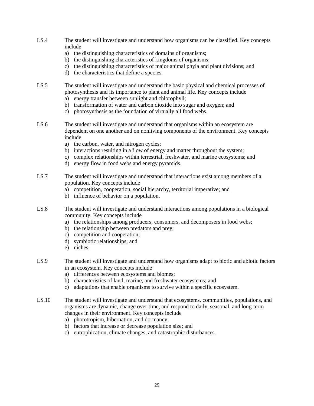- LS.4 The student will investigate and understand how organisms can be classified. Key concepts include
	- a) the distinguishing characteristics of domains of organisms;
	- b) the distinguishing characteristics of kingdoms of organisms;
	- c) the distinguishing characteristics of major animal phyla and plant divisions; and
	- d) the characteristics that define a species.
- LS.5 The student will investigate and understand the basic physical and chemical processes of photosynthesis and its importance to plant and animal life. Key concepts include
	- a) energy transfer between sunlight and chlorophyll;
	- b) transformation of water and carbon dioxide into sugar and oxygen; and
	- c) photosynthesis as the foundation of virtually all food webs.
- LS.6 The student will investigate and understand that organisms within an ecosystem are dependent on one another and on nonliving components of the environment. Key concepts include
	- a) the carbon, water, and nitrogen cycles;
	- b) interactions resulting in a flow of energy and matter throughout the system;
	- c) complex relationships within terrestrial, freshwater, and marine ecosystems; and
	- d) energy flow in food webs and energy pyramids.
- LS.7 The student will investigate and understand that interactions exist among members of a population. Key concepts include
	- a) competition, cooperation, social hierarchy, territorial imperative; and
	- b) influence of behavior on a population.
- LS.8 The student will investigate and understand interactions among populations in a biological community. Key concepts include
	- a) the relationships among producers, consumers, and decomposers in food webs;
	- b) the relationship between predators and prey;
	- c) competition and cooperation;
	- d) symbiotic relationships; and
	- e) niches.
- LS.9 The student will investigate and understand how organisms adapt to biotic and abiotic factors in an ecosystem. Key concepts include
	- a) differences between ecosystems and biomes;
	- b) characteristics of land, marine, and freshwater ecosystems; and
	- c) adaptations that enable organisms to survive within a specific ecosystem.
- LS.10 The student will investigate and understand that ecosystems, communities, populations, and organisms are dynamic, change over time, and respond to daily, seasonal, and long-term changes in their environment. Key concepts include
	- a) phototropism, hibernation, and dormancy;
	- b) factors that increase or decrease population size; and
	- c) eutrophication, climate changes, and catastrophic disturbances.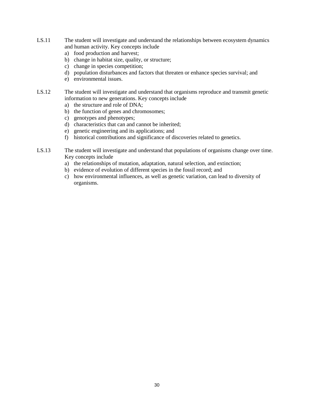- LS.11 The student will investigate and understand the relationships between ecosystem dynamics and human activity. Key concepts include
	- a) food production and harvest;
	- b) change in habitat size, quality, or structure;
	- c) change in species competition;
	- d) population disturbances and factors that threaten or enhance species survival; and
	- e) environmental issues.
- LS.12 The student will investigate and understand that organisms reproduce and transmit genetic information to new generations. Key concepts include
	- a) the structure and role of DNA;
	- b) the function of genes and chromosomes;
	- c) genotypes and phenotypes;
	- d) characteristics that can and cannot be inherited;
	- e) genetic engineering and its applications; and
	- f) historical contributions and significance of discoveries related to genetics.
- LS.13 The student will investigate and understand that populations of organisms change over time. Key concepts include
	- a) the relationships of mutation, adaptation, natural selection, and extinction;
	- b) evidence of evolution of different species in the fossil record; and
	- c) how environmental influences, as well as genetic variation, can lead to diversity of organisms.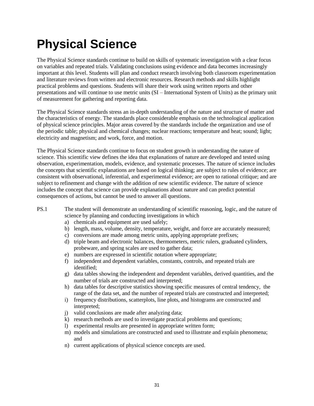### **Physical Science**

The Physical Science standards continue to build on skills of systematic investigation with a clear focus on variables and repeated trials. Validating conclusions using evidence and data becomes increasingly important at this level. Students will plan and conduct research involving both classroom experimentation and literature reviews from written and electronic resources. Research methods and skills highlight practical problems and questions. Students will share their work using written reports and other presentations and will continue to use metric units (SI – International System of Units) as the primary unit of measurement for gathering and reporting data.

The Physical Science standards stress an in-depth understanding of the nature and structure of matter and the characteristics of energy. The standards place considerable emphasis on the technological application of physical science principles. Major areas covered by the standards include the organization and use of the periodic table; physical and chemical changes; nuclear reactions; temperature and heat; sound; light; electricity and magnetism; and work, force, and motion.

The Physical Science standards continue to focus on student growth in understanding the nature of science. This scientific view defines the idea that explanations of nature are developed and tested using observation, experimentation, models, evidence, and systematic processes. The nature of science includes the concepts that scientific explanations are based on logical thinking; are subject to rules of evidence; are consistent with observational, inferential, and experimental evidence; are open to rational critique; and are subject to refinement and change with the addition of new scientific evidence. The nature of science includes the concept that science can provide explanations about nature and can predict potential consequences of actions, but cannot be used to answer all questions.

- PS.1 The student will demonstrate an understanding of scientific reasoning, logic, and the nature of science by planning and conducting investigations in which
	- a) chemicals and equipment are used safely;
	- b) length, mass, volume, density, temperature, weight, and force are accurately measured;
	- c) conversions are made among metric units, applying appropriate prefixes;
	- d) triple beam and electronic balances, thermometers, metric rulers, graduated cylinders, probeware, and spring scales are used to gather data;
	- e) numbers are expressed in scientific notation where appropriate;
	- f) independent and dependent variables, constants, controls, and repeated trials are identified;
	- g) data tables showing the independent and dependent variables, derived quantities, and the number of trials are constructed and interpreted;
	- h) data tables for descriptive statistics showing specific measures of central tendency, the range of the data set, and the number of repeated trials are constructed and interpreted;
	- i) frequency distributions, scatterplots, line plots, and histograms are constructed and interpreted;
	- j) valid conclusions are made after analyzing data;
	- k) research methods are used to investigate practical problems and questions;
	- l) experimental results are presented in appropriate written form;
	- m) models and simulations are constructed and used to illustrate and explain phenomena; and
	- n) current applications of physical science concepts are used.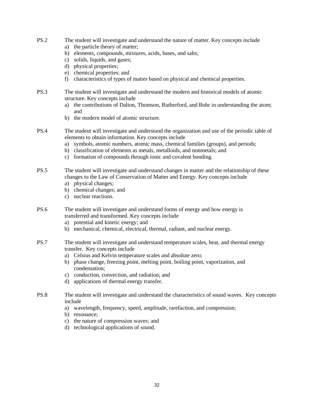- PS.2 The student will investigate and understand the nature of matter. Key concepts include
	- a) the particle theory of matter;
	- b) elements, compounds, mixtures, acids, bases, and salts;
	- c) solids, liquids, and gases;
	- d) physical properties;
	- e) chemical properties; and
	- f) characteristics of types of matter based on physical and chemical properties.
- PS.3 The student will investigate and understand the modern and historical models of atomic structure. Key concepts include
	- a) the contributions of Dalton, Thomson, Rutherford, and Bohr in understanding the atom; and
	- b) the modern model of atomic structure.
- PS.4 The student will investigate and understand the organization and use of the periodic table of elements to obtain information. Key concepts include
	- a) symbols, atomic numbers, atomic mass, chemical families (groups), and periods;
	- b) classification of elements as metals, metalloids, and nonmetals; and
	- c) formation of compounds through ionic and covalent bonding.
- PS.5 The student will investigate and understand changes in matter and the relationship of these changes to the Law of Conservation of Matter and Energy. Key concepts include
	- a) physical changes;
	- b) chemical changes; and
	- c) nuclear reactions.
- PS.6 The student will investigate and understand forms of energy and how energy is transferred and transformed. Key concepts include
	- a) potential and kinetic energy; and
	- b) mechanical, chemical, electrical, thermal, radiant, and nuclear energy.
- PS.7 The student will investigate and understand temperature scales, heat, and thermal energy transfer. Key concepts include
	- a) Celsius and Kelvin temperature scales and absolute zero;
	- b) phase change, freezing point, melting point, boiling point, vaporization, and condensation;
	- c) conduction, convection, and radiation; and
	- d) applications of thermal energy transfer.
- PS.8 The student will investigate and understand the characteristics of sound waves. Key concepts include
	- a) wavelength, frequency, speed, amplitude, rarefaction, and compression;
	- b) resonance;
	- c) the nature of compression waves; and
	- d) technological applications of sound.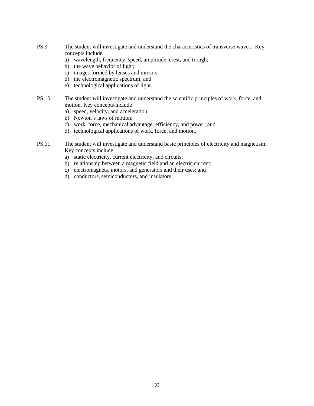- PS.9 The student will investigate and understand the characteristics of transverse waves. Key concepts include
	- a) wavelength, frequency, speed, amplitude, crest, and trough;
	- b) the wave behavior of light;
	- c) images formed by lenses and mirrors;
	- d) the electromagnetic spectrum; and
	- e) technological applications of light.
- PS.10 The student will investigate and understand the scientific principles of work, force, and motion. Key concepts include
	- a) speed, velocity, and acceleration;
	- b) Newton's laws of motion;
	- c) work, force, mechanical advantage, efficiency, and power; and
	- d) technological applications of work, force, and motion.
- PS.11 The student will investigate and understand basic principles of electricity and magnetism. Key concepts include
	- a) static electricity, current electricity, and circuits;
	- b) relationship between a magnetic field and an electric current;
	- c) electromagnets, motors, and generators and their uses; and
	- d) conductors, semiconductors, and insulators.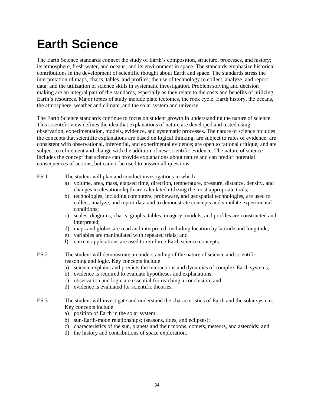### **Earth Science**

The Earth Science standards connect the study of Earth's composition, structure, processes, and history; its atmosphere, fresh water, and oceans; and its environment in space. The standards emphasize historical contributions in the development of scientific thought about Earth and space. The standards stress the interpretation of maps, charts, tables, and profiles; the use of technology to collect, analyze, and report data; and the utilization of science skills in systematic investigation. Problem solving and decision making are an integral part of the standards, especially as they relate to the costs and benefits of utilizing Earth's resources. Major topics of study include plate tectonics, the rock cycle, Earth history, the oceans, the atmosphere, weather and climate, and the solar system and universe.

The Earth Science standards continue to focus on student growth in understanding the nature of science. This scientific view defines the idea that explanations of nature are developed and tested using observation, experimentation, models, evidence, and systematic processes. The nature of science includes the concepts that scientific explanations are based on logical thinking; are subject to rules of evidence; are consistent with observational, inferential, and experimental evidence; are open to rational critique; and are subject to refinement and change with the addition of new scientific evidence. The nature of science includes the concept that science can provide explanations about nature and can predict potential consequences of actions, but cannot be used to answer all questions.

- ES.1 The student will plan and conduct investigations in which
	- a) volume, area, mass, elapsed time, direction, temperature, pressure, distance, density, and changes in elevation/depth are calculated utilizing the most appropriate tools;
	- b) technologies, including computers, probeware, and geospatial technologies, are used to collect, analyze, and report data and to demonstrate concepts and simulate experimental conditions;
	- c) scales, diagrams, charts, graphs, tables, imagery, models, and profiles are constructed and interpreted;
	- d) maps and globes are read and interpreted, including location by latitude and longitude;
	- e) variables are manipulated with repeated trials; and
	- f) current applications are used to reinforce Earth science concepts.
- ES.2 The student will demonstrate an understanding of the nature of science and scientific reasoning and logic. Key concepts include
	- a) science explains and predicts the interactions and dynamics of complex Earth systems;
	- b) evidence is required to evaluate hypotheses and explanations;
	- c) observation and logic are essential for reaching a conclusion; and
	- d) evidence is evaluated for scientific theories.
- ES.3 The student will investigate and understand the characteristics of Earth and the solar system. Key concepts include
	- a) position of Earth in the solar system;
	- b) sun-Earth-moon relationships; (seasons, tides, and eclipses);
	- c) characteristics of the sun, planets and their moons, comets, meteors, and asteroids; and
	- d) the history and contributions of space exploration.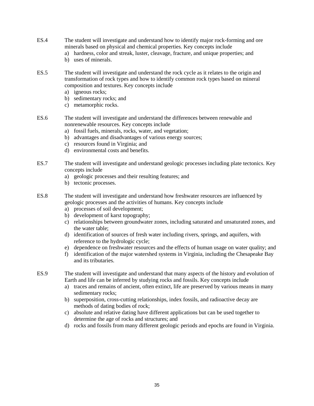- ES.4 The student will investigate and understand how to identify major rock-forming and ore minerals based on physical and chemical properties. Key concepts include
	- a) hardness, color and streak, luster, cleavage, fracture, and unique properties; and
	- b) uses of minerals.
- ES.5 The student will investigate and understand the rock cycle as it relates to the origin and transformation of rock types and how to identify common rock types based on mineral composition and textures. Key concepts include
	- a) igneous rocks;
	- b) sedimentary rocks; and
	- c) metamorphic rocks.
- ES.6 The student will investigate and understand the differences between renewable and nonrenewable resources. Key concepts include
	- a) fossil fuels, minerals, rocks, water, and vegetation;
	- b) advantages and disadvantages of various energy sources;
	- c) resources found in Virginia; and
	- d) environmental costs and benefits.
- ES.7 The student will investigate and understand geologic processes including plate tectonics. Key concepts include
	- a) geologic processes and their resulting features; and
	- b) tectonic processes.
- ES.8 The student will investigate and understand how freshwater resources are influenced by geologic processes and the activities of humans. Key concepts include
	- a) processes of soil development;
	- b) development of karst topography;
	- c) relationships between groundwater zones, including saturated and unsaturated zones, and the water table;
	- d) identification of sources of fresh water including rivers, springs, and aquifers, with reference to the hydrologic cycle;
	- e) dependence on freshwater resources and the effects of human usage on water quality; and
	- f) identification of the major watershed systems in Virginia, including the Chesapeake Bay and its tributaries.
- ES.9 The student will investigate and understand that many aspects of the history and evolution of Earth and life can be inferred by studying rocks and fossils. Key concepts include
	- a) traces and remains of ancient, often extinct, life are preserved by various means in many sedimentary rocks;
	- b) superposition, cross-cutting relationships, index fossils, and radioactive decay are methods of dating bodies of rock;
	- c) absolute and relative dating have different applications but can be used together to determine the age of rocks and structures; and
	- d) rocks and fossils from many different geologic periods and epochs are found in Virginia.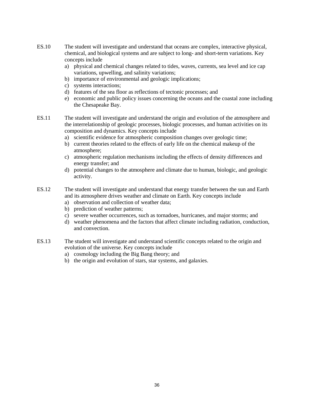- ES.10 The student will investigate and understand that oceans are complex, interactive physical, chemical, and biological systems and are subject to long- and short-term variations. Key concepts include
	- a) physical and chemical changes related to tides, waves, currents, sea level and ice cap variations, upwelling, and salinity variations;
	- b) importance of environmental and geologic implications;
	- c) systems interactions;
	- d) features of the sea floor as reflections of tectonic processes; and
	- e) economic and public policy issues concerning the oceans and the coastal zone including the Chesapeake Bay.
- ES.11 The student will investigate and understand the origin and evolution of the atmosphere and the interrelationship of geologic processes, biologic processes, and human activities on its composition and dynamics. Key concepts include
	- a) scientific evidence for atmospheric composition changes over geologic time;
	- b) current theories related to the effects of early life on the chemical makeup of the atmosphere;
	- c) atmospheric regulation mechanisms including the effects of density differences and energy transfer; and
	- d) potential changes to the atmosphere and climate due to human, biologic, and geologic activity.
- ES.12 The student will investigate and understand that energy transfer between the sun and Earth and its atmosphere drives weather and climate on Earth. Key concepts include
	- a) observation and collection of weather data;
	- b) prediction of weather patterns;
	- c) severe weather occurrences, such as tornadoes, hurricanes, and major storms; and
	- d) weather phenomena and the factors that affect climate including radiation, conduction, and convection.
- ES.13 The student will investigate and understand scientific concepts related to the origin and evolution of the universe. Key concepts include
	- a) cosmology including the Big Bang theory; and
	- b) the origin and evolution of stars, star systems, and galaxies.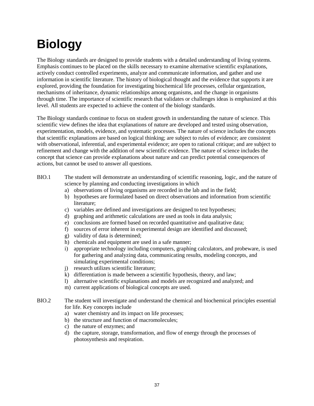## **Biology**

The Biology standards are designed to provide students with a detailed understanding of living systems. Emphasis continues to be placed on the skills necessary to examine alternative scientific explanations, actively conduct controlled experiments, analyze and communicate information, and gather and use information in scientific literature. The history of biological thought and the evidence that supports it are explored, providing the foundation for investigating biochemical life processes, cellular organization, mechanisms of inheritance, dynamic relationships among organisms, and the change in organisms through time. The importance of scientific research that validates or challenges ideas is emphasized at this level. All students are expected to achieve the content of the biology standards.

The Biology standards continue to focus on student growth in understanding the nature of science. This scientific view defines the idea that explanations of nature are developed and tested using observation, experimentation, models, evidence, and systematic processes. The nature of science includes the concepts that scientific explanations are based on logical thinking; are subject to rules of evidence; are consistent with observational, inferential, and experimental evidence; are open to rational critique; and are subject to refinement and change with the addition of new scientific evidence. The nature of science includes the concept that science can provide explanations about nature and can predict potential consequences of actions, but cannot be used to answer all questions.

- BIO.1 The student will demonstrate an understanding of scientific reasoning, logic, and the nature of science by planning and conducting investigations in which
	- a) observations of living organisms are recorded in the lab and in the field;
	- b) hypotheses are formulated based on direct observations and information from scientific literature;
	- c) variables are defined and investigations are designed to test hypotheses;
	- d) graphing and arithmetic calculations are used as tools in data analysis;
	- e) conclusions are formed based on recorded quantitative and qualitative data;
	- f) sources of error inherent in experimental design are identified and discussed;
	- g) validity of data is determined;
	- h) chemicals and equipment are used in a safe manner;
	- i) appropriate technology including computers, graphing calculators, and probeware, is used for gathering and analyzing data, communicating results, modeling concepts, and simulating experimental conditions;
	- j) research utilizes scientific literature;
	- k) differentiation is made between a scientific hypothesis, theory, and law;
	- l) alternative scientific explanations and models are recognized and analyzed; and
	- m) current applications of biological concepts are used.
- BIO.2 The student will investigate and understand the chemical and biochemical principles essential for life. Key concepts include
	- a) water chemistry and its impact on life processes;
	- b) the structure and function of macromolecules;
	- c) the nature of enzymes; and
	- d) the capture, storage, transformation, and flow of energy through the processes of photosynthesis and respiration.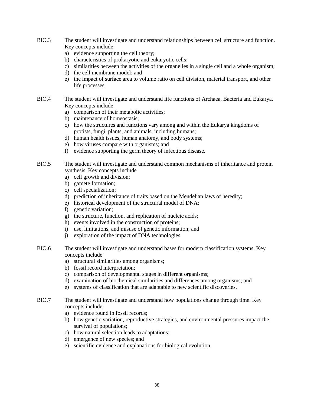- BIO.3 The student will investigate and understand relationships between cell structure and function. Key concepts include
	- a) evidence supporting the cell theory;
	- b) characteristics of prokaryotic and eukaryotic cells;
	- c) similarities between the activities of the organelles in a single cell and a whole organism;
	- d) the cell membrane model; and
	- e) the impact of surface area to volume ratio on cell division, material transport, and other life processes.
- BIO.4 The student will investigate and understand life functions of Archaea, Bacteria and Eukarya. Key concepts include
	- a) comparison of their metabolic activities;
	- b) maintenance of homeostasis;
	- c) how the structures and functions vary among and within the Eukarya kingdoms of protists, fungi, plants, and animals, including humans;
	- d) human health issues, human anatomy, and body systems;
	- e) how viruses compare with organisms; and
	- f) evidence supporting the germ theory of infectious disease.
- BIO.5 The student will investigate and understand common mechanisms of inheritance and protein synthesis. Key concepts include
	- a) cell growth and division;
	- b) gamete formation;
	- c) cell specialization;
	- d) prediction of inheritance of traits based on the Mendelian laws of heredity;
	- e) historical development of the structural model of DNA;
	- f) genetic variation;
	- g) the structure, function, and replication of nucleic acids;
	- h) events involved in the construction of proteins;
	- i) use, limitations, and misuse of genetic information; and
	- j) exploration of the impact of DNA technologies.
- BIO.6 The student will investigate and understand bases for modern classification systems. Key concepts include
	- a) structural similarities among organisms;
	- b) fossil record interpretation;
	- c) comparison of developmental stages in different organisms;
	- d) examination of biochemical similarities and differences among organisms; and
	- e) systems of classification that are adaptable to new scientific discoveries.
- BIO.7 The student will investigate and understand how populations change through time. Key concepts include
	- a) evidence found in fossil records;
	- b) how genetic variation, reproductive strategies, and environmental pressures impact the survival of populations;
	- c) how natural selection leads to adaptations;
	- d) emergence of new species; and
	- e) scientific evidence and explanations for biological evolution.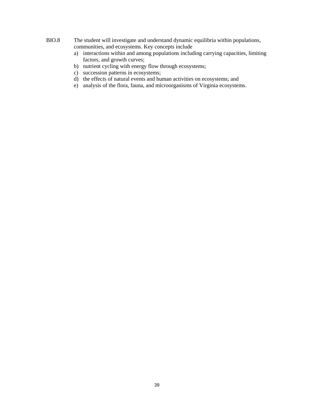#### BIO.8 The student will investigate and understand dynamic equilibria within populations, communities, and ecosystems. Key concepts include

- a) interactions within and among populations including carrying capacities, limiting factors, and growth curves;
- b) nutrient cycling with energy flow through ecosystems;
- c) succession patterns in ecosystems;
- d) the effects of natural events and human activities on ecosystems; and
- e) analysis of the flora, fauna, and microorganisms of Virginia ecosystems.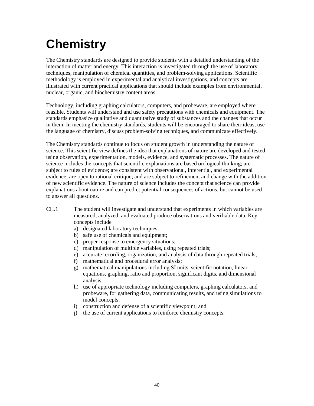## **Chemistry**

The Chemistry standards are designed to provide students with a detailed understanding of the interaction of matter and energy. This interaction is investigated through the use of laboratory techniques, manipulation of chemical quantities, and problem-solving applications. Scientific methodology is employed in experimental and analytical investigations, and concepts are illustrated with current practical applications that should include examples from environmental, nuclear, organic, and biochemistry content areas.

Technology, including graphing calculators, computers, and probeware, are employed where feasible. Students will understand and use safety precautions with chemicals and equipment. The standards emphasize qualitative and quantitative study of substances and the changes that occur in them. In meeting the chemistry standards, students will be encouraged to share their ideas, use the language of chemistry, discuss problem-solving techniques, and communicate effectively.

The Chemistry standards continue to focus on student growth in understanding the nature of science. This scientific view defines the idea that explanations of nature are developed and tested using observation, experimentation, models, evidence, and systematic processes. The nature of science includes the concepts that scientific explanations are based on logical thinking; are subject to rules of evidence; are consistent with observational, inferential, and experimental evidence; are open to rational critique; and are subject to refinement and change with the addition of new scientific evidence. The nature of science includes the concept that science can provide explanations about nature and can predict potential consequences of actions, but cannot be used to answer all questions.

- CH.1 The student will investigate and understand that experiments in which variables are measured, analyzed, and evaluated produce observations and verifiable data. Key concepts include
	- a) designated laboratory techniques;
	- b) safe use of chemicals and equipment;
	- c) proper response to emergency situations;
	- d) manipulation of multiple variables, using repeated trials;
	- e) accurate recording, organization, and analysis of data through repeated trials;
	- f) mathematical and procedural error analysis;
	- g) mathematical manipulations including SI units, scientific notation, linear equations, graphing, ratio and proportion, significant digits, and dimensional analysis;
	- h) use of appropriate technology including computers, graphing calculators, and probeware, for gathering data, communicating results, and using simulations to model concepts;
	- i) construction and defense of a scientific viewpoint; and
	- j) the use of current applications to reinforce chemistry concepts.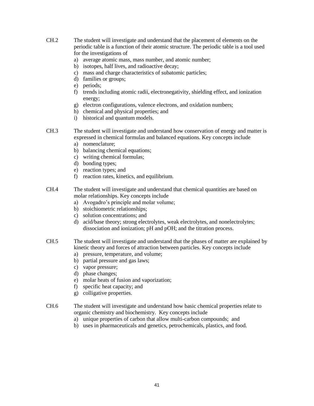- CH.2 The student will investigate and understand that the placement of elements on the periodic table is a function of their atomic structure. The periodic table is a tool used for the investigations of
	- a) average atomic mass, mass number, and atomic number;
	- b) isotopes, half lives, and radioactive decay;
	- c) mass and charge characteristics of subatomic particles;
	- d) families or groups;
	- e) periods;
	- f) trends including atomic radii, electronegativity, shielding effect, and ionization energy;
	- g) electron configurations, valence electrons, and oxidation numbers;
	- h) chemical and physical properties; and
	- i) historical and quantum models.
- CH.3 The student will investigate and understand how conservation of energy and matter is expressed in chemical formulas and balanced equations. Key concepts include
	- a) nomenclature;
	- b) balancing chemical equations;
	- c) writing chemical formulas;
	- d) bonding types;
	- e) reaction types; and
	- f) reaction rates, kinetics, and equilibrium.
- CH.4 The student will investigate and understand that chemical quantities are based on molar relationships. Key concepts include
	- a) Avogadro's principle and molar volume;
	- b) stoichiometric relationships;
	- c) solution concentrations; and
	- d) acid/base theory; strong electrolytes, weak electrolytes, and nonelectrolytes; dissociation and ionization; pH and pOH; and the titration process.
- CH.5 The student will investigate and understand that the phases of matter are explained by kinetic theory and forces of attraction between particles. Key concepts include
	- a) pressure, temperature, and volume;
	- b) partial pressure and gas laws;
	- c) vapor pressure;
	- d) phase changes;
	- e) molar heats of fusion and vaporization;
	- f) specific heat capacity; and
	- g) colligative properties.
- CH.6 The student will investigate and understand how basic chemical properties relate to organic chemistry and biochemistry. Key concepts include
	- a) unique properties of carbon that allow multi-carbon compounds; and
	- b) uses in pharmaceuticals and genetics, petrochemicals, plastics, and food.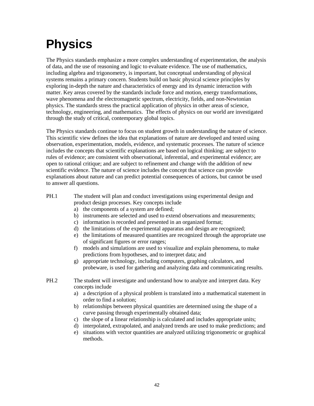## **Physics**

The Physics standards emphasize a more complex understanding of experimentation, the analysis of data, and the use of reasoning and logic to evaluate evidence. The use of mathematics, including algebra and trigonometry, is important, but conceptual understanding of physical systems remains a primary concern. Students build on basic physical science principles by exploring in-depth the nature and characteristics of energy and its dynamic interaction with matter. Key areas covered by the standards include force and motion, energy transformations, wave phenomena and the electromagnetic spectrum, electricity, fields, and non-Newtonian physics. The standards stress the practical application of physics in other areas of science, technology, engineering, and mathematics. The effects of physics on our world are investigated through the study of critical, contemporary global topics.

The Physics standards continue to focus on student growth in understanding the nature of science. This scientific view defines the idea that explanations of nature are developed and tested using observation, experimentation, models, evidence, and systematic processes. The nature of science includes the concepts that scientific explanations are based on logical thinking; are subject to rules of evidence; are consistent with observational, inferential, and experimental evidence; are open to rational critique; and are subject to refinement and change with the addition of new scientific evidence. The nature of science includes the concept that science can provide explanations about nature and can predict potential consequences of actions, but cannot be used to answer all questions.

- PH.1 The student will plan and conduct investigations using experimental design and product design processes. Key concepts include
	- a) the components of a system are defined;
	- b) instruments are selected and used to extend observations and measurements;
	- c) information is recorded and presented in an organized format;
	- d) the limitations of the experimental apparatus and design are recognized;
	- e) the limitations of measured quantities are recognized through the appropriate use of significant figures or error ranges;
	- f) models and simulations are used to visualize and explain phenomena, to make predictions from hypotheses, and to interpret data; and
	- g) appropriate technology, including computers, graphing calculators, and probeware, is used for gathering and analyzing data and communicating results.
- PH.2 The student will investigate and understand how to analyze and interpret data. Key concepts include
	- a) a description of a physical problem is translated into a mathematical statement in order to find a solution;
	- b) relationships between physical quantities are determined using the shape of a curve passing through experimentally obtained data;
	- c) the slope of a linear relationship is calculated and includes appropriate units;
	- d) interpolated, extrapolated, and analyzed trends are used to make predictions; and
	- e) situations with vector quantities are analyzed utilizing trigonometric or graphical methods.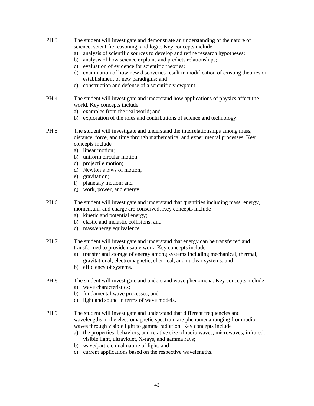- PH.3 The student will investigate and demonstrate an understanding of the nature of science, scientific reasoning, and logic. Key concepts include
	- a) analysis of scientific sources to develop and refine research hypotheses;
	- b) analysis of how science explains and predicts relationships;
	- c) evaluation of evidence for scientific theories;
	- d) examination of how new discoveries result in modification of existing theories or establishment of new paradigms; and
	- e) construction and defense of a scientific viewpoint.
- PH.4 The student will investigate and understand how applications of physics affect the world. Key concepts include
	- a) examples from the real world; and
	- b) exploration of the roles and contributions of science and technology.
- PH.5 The student will investigate and understand the interrelationships among mass, distance, force, and time through mathematical and experimental processes. Key concepts include
	- a) linear motion;
	- b) uniform circular motion;
	- c) projectile motion;
	- d) Newton's laws of motion;
	- e) gravitation;
	- f) planetary motion; and
	- g) work, power, and energy.
- PH.6 The student will investigate and understand that quantities including mass, energy, momentum, and charge are conserved. Key concepts include
	- a) kinetic and potential energy;
	- b) elastic and inelastic collisions; and
	- c) mass/energy equivalence.
- PH.7 The student will investigate and understand that energy can be transferred and transformed to provide usable work. Key concepts include
	- a) transfer and storage of energy among systems including mechanical, thermal, gravitational, electromagnetic, chemical, and nuclear systems; and
	- b) efficiency of systems.
- PH.8 The student will investigate and understand wave phenomena. Key concepts include
	- a) wave characteristics;
	- b) fundamental wave processes; and
	- c) light and sound in terms of wave models.
- PH.9 The student will investigate and understand that different frequencies and wavelengths in the electromagnetic spectrum are phenomena ranging from radio waves through visible light to gamma radiation. Key concepts include
	- a) the properties, behaviors, and relative size of radio waves, microwaves, infrared, visible light, ultraviolet, X-rays, and gamma rays;
	- b) wave/particle dual nature of light; and
	- c) current applications based on the respective wavelengths.